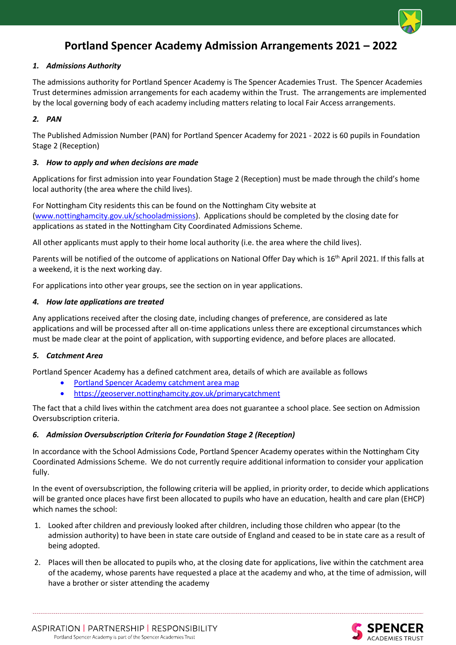

# **Portland Spencer Academy Admission Arrangements 2021 – 2022**

#### *1. Admissions Authority*

The admissions authority for Portland Spencer Academy is The Spencer Academies Trust. The Spencer Academies Trust determines admission arrangements for each academy within the Trust. The arrangements are implemented by the local governing body of each academy including matters relating to local Fair Access arrangements.

#### *2. PAN*

The Published Admission Number (PAN) for Portland Spencer Academy for 2021 - 2022 is 60 pupils in Foundation Stage 2 (Reception)

#### *3. How to apply and when decisions are made*

Applications for first admission into year Foundation Stage 2 (Reception) must be made through the child's home local authority (the area where the child lives).

For Nottingham City residents this can be found on the Nottingham City website at [\(www.nottinghamcity.gov.uk/schooladmissions\)](http://www.nottinghamcity.gov.uk/schooladmissions). Applications should be completed by the closing date for applications as stated in the Nottingham City Coordinated Admissions Scheme.

All other applicants must apply to their home local authority (i.e. the area where the child lives).

Parents will be notified of the outcome of applications on National Offer Day which is 16<sup>th</sup> April 2021. If this falls at a weekend, it is the next working day.

For applications into other year groups, see the section on in year applications.

#### *4. How late applications are treated*

Any applications received after the closing date, including changes of preference, are considered as late applications and will be processed after all on-time applications unless there are exceptional circumstances which must be made clear at the point of application, with supporting evidence, and before places are allocated.

#### *5. Catchment Area*

Portland Spencer Academy has a defined catchment area, details of which are available as follows

- [Portland Spencer Academy catchment area map](#page-4-0)
- <https://geoserver.nottinghamcity.gov.uk/primarycatchment>

The fact that a child lives within the catchment area does not guarantee a school place. See section on Admission Oversubscription criteria.

# *6. Admission Oversubscription Criteria for Foundation Stage 2 (Reception)*

In accordance with the School Admissions Code, Portland Spencer Academy operates within the Nottingham City Coordinated Admissions Scheme. We do not currently require additional information to consider your application fully.

In the event of oversubscription, the following criteria will be applied, in priority order, to decide which applications will be granted once places have first been allocated to pupils who have an education, health and care plan (EHCP) which names the school:

- 1. Looked after children and previously looked after children, including those children who appear (to the admission authority) to have been in state care outside of England and ceased to be in state care as a result of being adopted.
- 2. Places will then be allocated to pupils who, at the closing date for applications, live within the catchment area of the academy, whose parents have requested a place at the academy and who, at the time of admission, will have a brother or sister attending the academy



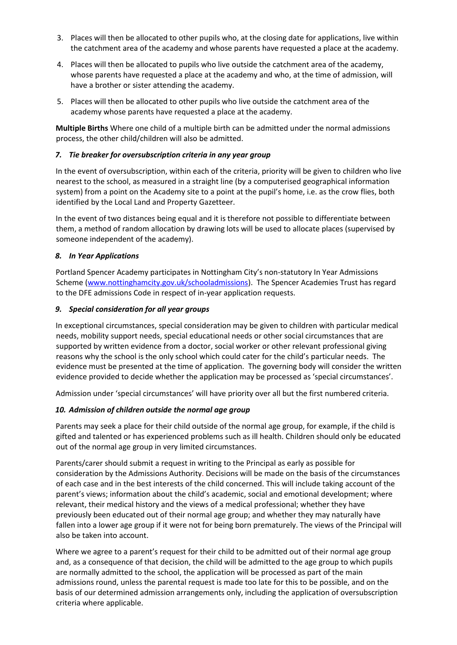- 3. Places will then be allocated to other pupils who, at the closing date for applications, live within the catchment area of the academy and whose parents have requested a place at the academy.
- 4. Places will then be allocated to pupils who live outside the catchment area of the academy, whose parents have requested a place at the academy and who, at the time of admission, will have a brother or sister attending the academy.
- 5. Places will then be allocated to other pupils who live outside the catchment area of the academy whose parents have requested a place at the academy.

**Multiple Births** Where one child of a multiple birth can be admitted under the normal admissions process, the other child/children will also be admitted.

# *7. Tie breaker for oversubscription criteria in any year group*

In the event of oversubscription, within each of the criteria, priority will be given to children who live nearest to the school, as measured in a straight line (by a computerised geographical information system) from a point on the Academy site to a point at the pupil's home, i.e. as the crow flies, both identified by the Local Land and Property Gazetteer.

In the event of two distances being equal and it is therefore not possible to differentiate between them, a method of random allocation by drawing lots will be used to allocate places (supervised by someone independent of the academy).

# *8. In Year Applications*

Portland Spencer Academy participates in Nottingham City's non-statutory In Year Admissions Scheme [\(www.nottinghamcity.gov.uk/schooladmissions\)](http://www.nottinghamcity.gov.uk/schooladmissions). The Spencer Academies Trust has regard to the DFE admissions Code in respect of in-year application requests.

# *9. Special consideration for all year groups*

In exceptional circumstances, special consideration may be given to children with particular medical needs, mobility support needs, special educational needs or other social circumstances that are supported by written evidence from a doctor, social worker or other relevant professional giving reasons why the school is the only school which could cater for the child's particular needs. The evidence must be presented at the time of application. The governing body will consider the written evidence provided to decide whether the application may be processed as 'special circumstances'.

Admission under 'special circumstances' will have priority over all but the first numbered criteria.

# *10. Admission of children outside the normal age group*

Parents may seek a place for their child outside of the normal age group, for example, if the child is gifted and talented or has experienced problems such as ill health. Children should only be educated out of the normal age group in very limited circumstances.

Parents/carer should submit a request in writing to the Principal as early as possible for consideration by the Admissions Authority. Decisions will be made on the basis of the circumstances of each case and in the best interests of the child concerned. This will include taking account of the parent's views; information about the child's academic, social and emotional development; where relevant, their medical history and the views of a medical professional; whether they have previously been educated out of their normal age group; and whether they may naturally have fallen into a lower age group if it were not for being born prematurely. The views of the Principal will also be taken into account.

Where we agree to a parent's request for their child to be admitted out of their normal age group and, as a consequence of that decision, the child will be admitted to the age group to which pupils are normally admitted to the school, the application will be processed as part of the main admissions round, unless the parental request is made too late for this to be possible, and on the basis of our determined admission arrangements only, including the application of oversubscription criteria where applicable.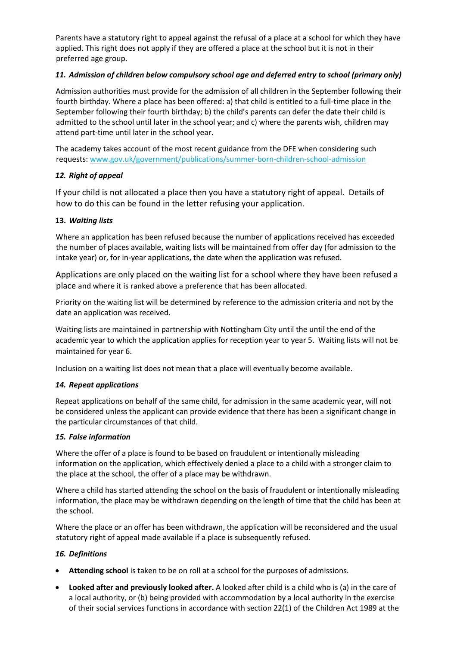Parents have a statutory right to appeal against the refusal of a place at a school for which they have applied. This right does not apply if they are offered a place at the school but it is not in their preferred age group.

# *11. Admission of children below compulsory school age and deferred entry to school (primary only)*

Admission authorities must provide for the admission of all children in the September following their fourth birthday. Where a place has been offered: a) that child is entitled to a full-time place in the September following their fourth birthday; b) the child's parents can defer the date their child is admitted to the school until later in the school year; and c) where the parents wish, children may attend part-time until later in the school year.

The academy takes account of the most recent guidance from the DFE when considering such requests: [www.gov.uk/government/publications/summer-born-children-school-admission](http://www.gov.uk/government/publications/summer-born-children-school-admission)

# *12. Right of appeal*

If your child is not allocated a place then you have a statutory right of appeal. Details of how to do this can be found in the letter refusing your application.

# **13.** *Waiting lists*

Where an application has been refused because the number of applications received has exceeded the number of places available, waiting lists will be maintained from offer day (for admission to the intake year) or, for in-year applications, the date when the application was refused.

Applications are only placed on the waiting list for a school where they have been refused a place and where it is ranked above a preference that has been allocated.

Priority on the waiting list will be determined by reference to the admission criteria and not by the date an application was received.

Waiting lists are maintained in partnership with Nottingham City until the until the end of the academic year to which the application applies for reception year to year 5. Waiting lists will not be maintained for year 6.

Inclusion on a waiting list does not mean that a place will eventually become available.

# *14. Repeat applications*

Repeat applications on behalf of the same child, for admission in the same academic year, will not be considered unless the applicant can provide evidence that there has been a significant change in the particular circumstances of that child.

# *15. False information*

Where the offer of a place is found to be based on fraudulent or intentionally misleading information on the application, which effectively denied a place to a child with a stronger claim to the place at the school, the offer of a place may be withdrawn.

Where a child has started attending the school on the basis of fraudulent or intentionally misleading information, the place may be withdrawn depending on the length of time that the child has been at the school.

Where the place or an offer has been withdrawn, the application will be reconsidered and the usual statutory right of appeal made available if a place is subsequently refused.

# *16. Definitions*

- **Attending school** is taken to be on roll at a school for the purposes of admissions.
- **Looked after and previously looked after.** A looked after child is a child who is (a) in the care of a local authority, or (b) being provided with accommodation by a local authority in the exercise of their social services functions in accordance with section 22(1) of the Children Act 1989 at the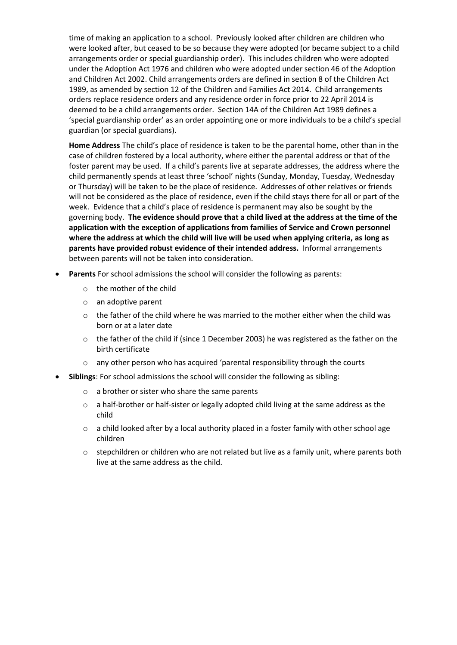time of making an application to a school. Previously looked after children are children who were looked after, but ceased to be so because they were adopted (or became subject to a child arrangements order or special guardianship order). This includes children who were adopted under the Adoption Act 1976 and children who were adopted under section 46 of the Adoption and Children Act 2002. Child arrangements orders are defined in section 8 of the Children Act 1989, as amended by section 12 of the Children and Families Act 2014. Child arrangements orders replace residence orders and any residence order in force prior to 22 April 2014 is deemed to be a child arrangements order. Section 14A of the Children Act 1989 defines a 'special guardianship order' as an order appointing one or more individuals to be a child's special guardian (or special guardians).

**Home Address** The child's place of residence is taken to be the parental home, other than in the case of children fostered by a local authority, where either the parental address or that of the foster parent may be used. If a child's parents live at separate addresses, the address where the child permanently spends at least three 'school' nights (Sunday, Monday, Tuesday, Wednesday or Thursday) will be taken to be the place of residence. Addresses of other relatives or friends will not be considered as the place of residence, even if the child stays there for all or part of the week. Evidence that a child's place of residence is permanent may also be sought by the governing body. **The evidence should prove that a child lived at the address at the time of the application with the exception of applications from families of Service and Crown personnel where the address at which the child will live will be used when applying criteria, as long as parents have provided robust evidence of their intended address.** Informal arrangements between parents will not be taken into consideration.

- **Parents** For school admissions the school will consider the following as parents:
	- o the mother of the child
	- o an adoptive parent
	- $\circ$  the father of the child where he was married to the mother either when the child was born or at a later date
	- o the father of the child if (since 1 December 2003) he was registered as the father on the birth certificate
	- $\circ$  any other person who has acquired 'parental responsibility through the courts
- **Siblings**: For school admissions the school will consider the following as sibling:
	- o a brother or sister who share the same parents
	- $\circ$  a half-brother or half-sister or legally adopted child living at the same address as the child
	- o a child looked after by a local authority placed in a foster family with other school age children
	- $\circ$  stepchildren or children who are not related but live as a family unit, where parents both live at the same address as the child.